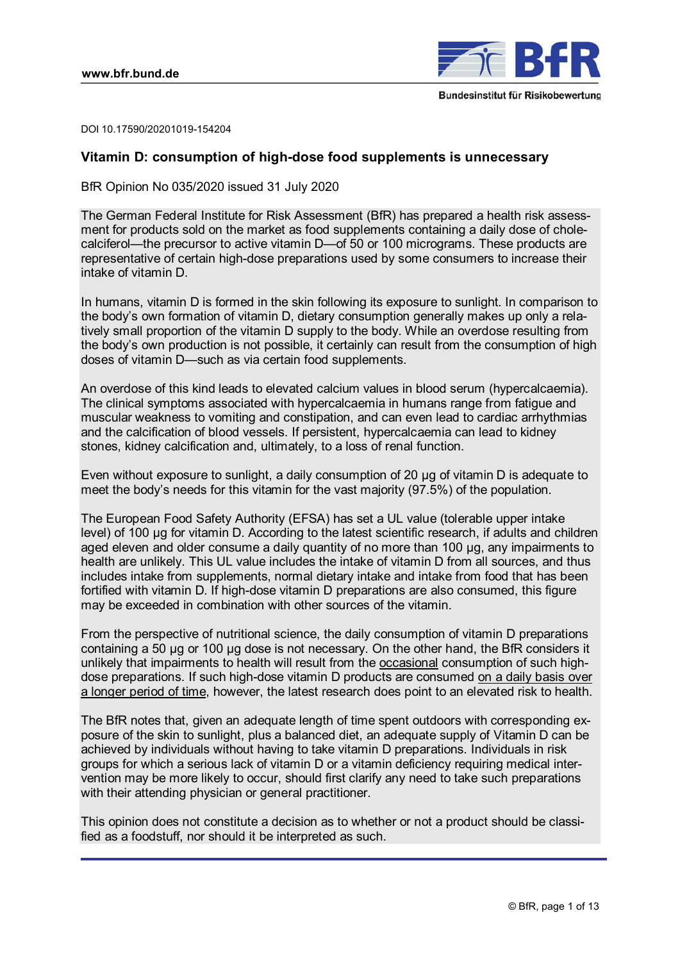

DOI 10.17590/20201019-154204

# **Vitamin D: consumption of high-dose food supplements is unnecessary**

BfR Opinion No 035/2020 issued 31 July 2020

The German Federal Institute for Risk Assessment (BfR) has prepared a health risk assessment for products sold on the market as food supplements containing a daily dose of cholecalciferol—the precursor to active vitamin D—of 50 or 100 micrograms. These products are representative of certain high-dose preparations used by some consumers to increase their intake of vitamin D.

In humans, vitamin D is formed in the skin following its exposure to sunlight. In comparison to the body's own formation of vitamin D, dietary consumption generally makes up only a relatively small proportion of the vitamin D supply to the body. While an overdose resulting from the body's own production is not possible, it certainly can result from the consumption of high doses of vitamin D—such as via certain food supplements.

An overdose of this kind leads to elevated calcium values in blood serum (hypercalcaemia). The clinical symptoms associated with hypercalcaemia in humans range from fatigue and muscular weakness to vomiting and constipation, and can even lead to cardiac arrhythmias and the calcification of blood vessels. If persistent, hypercalcaemia can lead to kidney stones, kidney calcification and, ultimately, to a loss of renal function.

Even without exposure to sunlight, a daily consumption of 20 µg of vitamin D is adequate to meet the body's needs for this vitamin for the vast majority (97.5%) of the population.

The European Food Safety Authority (EFSA) has set a UL value (tolerable upper intake level) of 100 µg for vitamin D. According to the latest scientific research, if adults and children aged eleven and older consume a daily quantity of no more than 100 µg, any impairments to health are unlikely. This UL value includes the intake of vitamin D from all sources, and thus includes intake from supplements, normal dietary intake and intake from food that has been fortified with vitamin D. If high-dose vitamin D preparations are also consumed, this figure may be exceeded in combination with other sources of the vitamin.

From the perspective of nutritional science, the daily consumption of vitamin D preparations containing a 50 µg or 100 µg dose is not necessary. On the other hand, the BfR considers it unlikely that impairments to health will result from the occasional consumption of such highdose preparations. If such high-dose vitamin D products are consumed on a daily basis over a longer period of time, however, the latest research does point to an elevated risk to health.

The BfR notes that, given an adequate length of time spent outdoors with corresponding exposure of the skin to sunlight, plus a balanced diet, an adequate supply of Vitamin D can be achieved by individuals without having to take vitamin D preparations. Individuals in risk groups for which a serious lack of vitamin D or a vitamin deficiency requiring medical intervention may be more likely to occur, should first clarify any need to take such preparations with their attending physician or general practitioner.

This opinion does not constitute a decision as to whether or not a product should be classified as a foodstuff, nor should it be interpreted as such.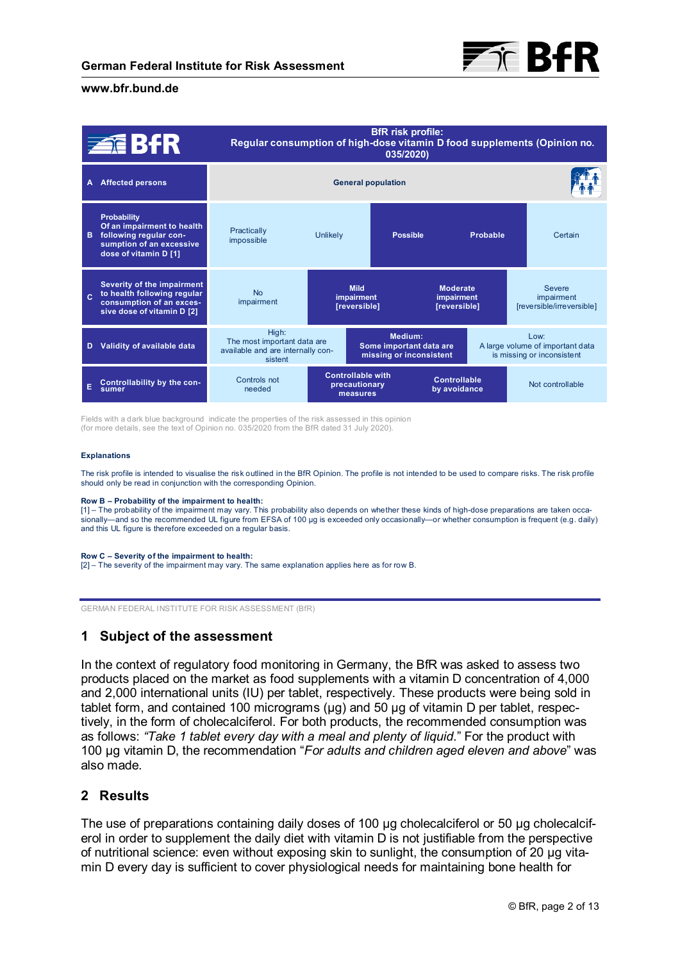

|              | <b>ZEBAR</b>                                                                                                                    | <b>BfR</b> risk profile:<br>Regular consumption of high-dose vitamin D food supplements (Opinion no.<br>035/2020) |                                                               |                 |                                                                                |                                                          |
|--------------|---------------------------------------------------------------------------------------------------------------------------------|-------------------------------------------------------------------------------------------------------------------|---------------------------------------------------------------|-----------------|--------------------------------------------------------------------------------|----------------------------------------------------------|
| A            | <b>Affected persons</b>                                                                                                         | <b>General population</b>                                                                                         |                                                               |                 |                                                                                |                                                          |
| в            | <b>Probability</b><br>Of an impairment to health<br>following regular con-<br>sumption of an excessive<br>dose of vitamin D [1] | Practically<br>impossible                                                                                         | Unlikely                                                      | <b>Possible</b> | Probable                                                                       | Certain                                                  |
| $\mathbf{c}$ | Severity of the impairment<br>to health following regular<br>consumption of an exces-<br>sive dose of vitamin D [2]             | <b>No</b><br>impairment                                                                                           | <b>Mild</b><br><b>impairment</b><br>[reversible]              |                 | <b>Moderate</b><br>impairment<br>[reversible]                                  | <b>Severe</b><br>impairment<br>[reversible/irreversible] |
|              | Validity of available data                                                                                                      | High:<br>The most important data are<br>available and are internally con-<br>sistent                              | Medium:<br>Some important data are<br>missing or inconsistent |                 | $1$ $\Omega$<br>A large volume of important data<br>is missing or inconsistent |                                                          |
| E            | Controllability by the con-<br>sumer                                                                                            | Controls not<br>needed                                                                                            | <b>Controllable with</b><br>precautionary<br>measures         |                 | <b>Controllable</b><br>by avoidance                                            | Not controllable                                         |

Fields with a dark blue background indicate the properties of the risk assessed in this opinion (for more details, see the text of Opinion no. 035/2020 from the BfR dated 31 July 2020).

#### **Explanations**

The risk profile is intended to visualise the risk outlined in the BfR Opinion. The profile is not intended to be used to compare risks. The risk profile should only be read in conjunction with the corresponding Opinion.

#### **Row B – Probability of the impairment to health:**

[1] – The probability of the impairment may vary. This probability also depends on whether these kinds of high-dose preparations are taken occa-<br>sionally—and so the recommended UL figure from EFSA of 100 µg is exceeded onl and this UL figure is therefore exceeded on a regular basis.

#### **Row C – Severity of the impairment to health:**

[2] – The severity of the impairment may vary. The same explanation applies here as for row B.

GERMAN FEDERAL INSTITUTE FOR RISK ASSESSMENT (BfR)

# **1 Subject of the assessment**

In the context of regulatory food monitoring in Germany, the BfR was asked to assess two products placed on the market as food supplements with a vitamin D concentration of 4,000 and 2,000 international units (IU) per tablet, respectively. These products were being sold in tablet form, and contained 100 micrograms (µg) and 50 µg of vitamin D per tablet, respectively, in the form of cholecalciferol. For both products, the recommended consumption was as follows: *"Take 1 tablet every day with a meal and plenty of liquid*." For the product with 100 µg vitamin D, the recommendation "*For adults and children aged eleven and above*" was also made.

# **2 Results**

The use of preparations containing daily doses of 100 µg cholecalciferol or 50 µg cholecalciferol in order to supplement the daily diet with vitamin D is not justifiable from the perspective of nutritional science: even without exposing skin to sunlight, the consumption of 20 µg vitamin D every day is sufficient to cover physiological needs for maintaining bone health for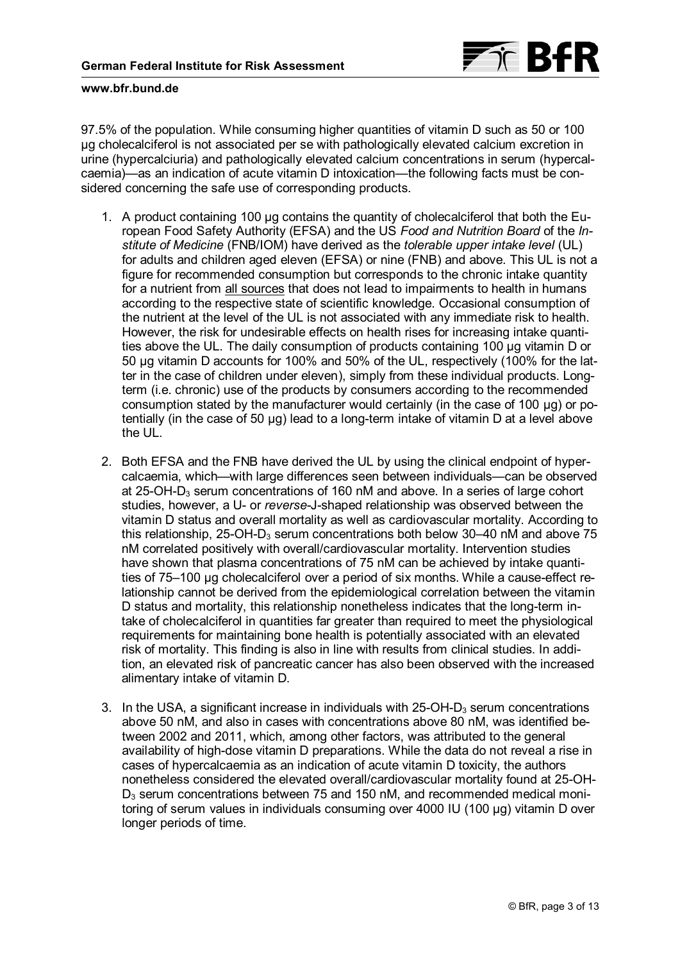

97.5% of the population. While consuming higher quantities of vitamin D such as 50 or 100 µg cholecalciferol is not associated per se with pathologically elevated calcium excretion in urine (hypercalciuria) and pathologically elevated calcium concentrations in serum (hypercalcaemia)—as an indication of acute vitamin D intoxication—the following facts must be considered concerning the safe use of corresponding products.

- 1. A product containing 100 µg contains the quantity of cholecalciferol that both the European Food Safety Authority (EFSA) and the US *Food and Nutrition Board* of the *Institute of Medicine* (FNB/IOM) have derived as the *tolerable upper intake level* (UL) for adults and children aged eleven (EFSA) or nine (FNB) and above. This UL is not a figure for recommended consumption but corresponds to the chronic intake quantity for a nutrient from all sources that does not lead to impairments to health in humans according to the respective state of scientific knowledge. Occasional consumption of the nutrient at the level of the UL is not associated with any immediate risk to health. However, the risk for undesirable effects on health rises for increasing intake quantities above the UL. The daily consumption of products containing 100 µg vitamin D or 50 µg vitamin D accounts for 100% and 50% of the UL, respectively (100% for the latter in the case of children under eleven), simply from these individual products. Longterm (i.e. chronic) use of the products by consumers according to the recommended consumption stated by the manufacturer would certainly (in the case of 100 µg) or potentially (in the case of 50 µg) lead to a long-term intake of vitamin D at a level above the UL.
- 2. Both EFSA and the FNB have derived the UL by using the clinical endpoint of hypercalcaemia, which—with large differences seen between individuals—can be observed at 25-OH- $D_3$  serum concentrations of 160 nM and above. In a series of large cohort studies, however, a U- or *reverse*-J-shaped relationship was observed between the vitamin D status and overall mortality as well as cardiovascular mortality. According to this relationship, 25-OH-D<sub>3</sub> serum concentrations both below 30–40 nM and above 75 nM correlated positively with overall/cardiovascular mortality. Intervention studies have shown that plasma concentrations of 75 nM can be achieved by intake quantities of 75–100 µg cholecalciferol over a period of six months. While a cause-effect relationship cannot be derived from the epidemiological correlation between the vitamin D status and mortality, this relationship nonetheless indicates that the long-term intake of cholecalciferol in quantities far greater than required to meet the physiological requirements for maintaining bone health is potentially associated with an elevated risk of mortality. This finding is also in line with results from clinical studies. In addition, an elevated risk of pancreatic cancer has also been observed with the increased alimentary intake of vitamin D.
- 3. In the USA, a significant increase in individuals with  $25$ -OH-D<sub>3</sub> serum concentrations above 50 nM, and also in cases with concentrations above 80 nM, was identified between 2002 and 2011, which, among other factors, was attributed to the general availability of high-dose vitamin D preparations. While the data do not reveal a rise in cases of hypercalcaemia as an indication of acute vitamin D toxicity, the authors nonetheless considered the elevated overall/cardiovascular mortality found at 25-OH- $D_3$  serum concentrations between 75 and 150 nM, and recommended medical monitoring of serum values in individuals consuming over 4000 IU (100 µg) vitamin D over longer periods of time.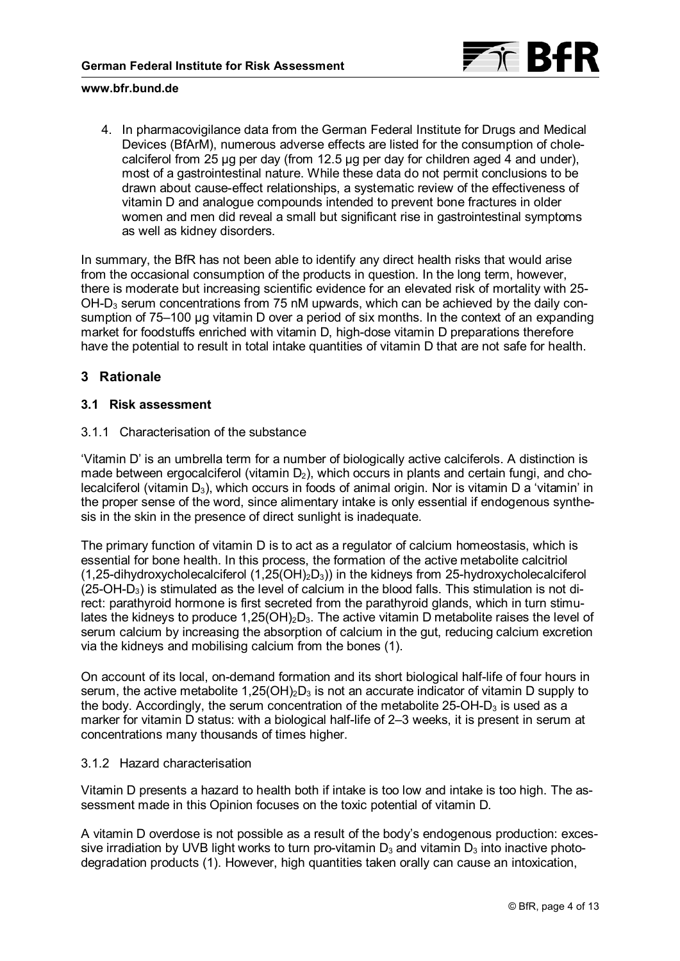

4. In pharmacovigilance data from the German Federal Institute for Drugs and Medical Devices (BfArM), numerous adverse effects are listed for the consumption of cholecalciferol from 25 µg per day (from 12.5 µg per day for children aged 4 and under), most of a gastrointestinal nature. While these data do not permit conclusions to be drawn about cause-effect relationships, a systematic review of the effectiveness of vitamin D and analogue compounds intended to prevent bone fractures in older women and men did reveal a small but significant rise in gastrointestinal symptoms as well as kidney disorders.

In summary, the BfR has not been able to identify any direct health risks that would arise from the occasional consumption of the products in question. In the long term, however, there is moderate but increasing scientific evidence for an elevated risk of mortality with 25- OH-D<sub>3</sub> serum concentrations from 75 nM upwards, which can be achieved by the daily consumption of 75–100 µg vitamin D over a period of six months. In the context of an expanding market for foodstuffs enriched with vitamin D, high-dose vitamin D preparations therefore have the potential to result in total intake quantities of vitamin D that are not safe for health.

# **3 Rationale**

# **3.1 Risk assessment**

# 3.1.1 Characterisation of the substance

'Vitamin D' is an umbrella term for a number of biologically active calciferols. A distinction is made between ergocalciferol (vitamin  $D_2$ ), which occurs in plants and certain fungi, and cholecalciferol (vitamin  $D_3$ ), which occurs in foods of animal origin. Nor is vitamin D a 'vitamin' in the proper sense of the word, since alimentary intake is only essential if endogenous synthesis in the skin in the presence of direct sunlight is inadequate.

The primary function of vitamin D is to act as a regulator of calcium homeostasis, which is essential for bone health. In this process, the formation of the active metabolite calcitriol (1,25-dihydroxycholecalciferol  $(1,25(OH)_2D_3)$ ) in the kidneys from 25-hydroxycholecalciferol  $(25-OH-D<sub>3</sub>)$  is stimulated as the level of calcium in the blood falls. This stimulation is not direct: parathyroid hormone is first secreted from the parathyroid glands, which in turn stimulates the kidneys to produce  $1,25(OH)_2D_3$ . The active vitamin D metabolite raises the level of serum calcium by increasing the absorption of calcium in the gut, reducing calcium excretion via the kidneys and mobilising calcium from the bones [\(1\).](#page-9-0)

On account of its local, on-demand formation and its short biological half-life of four hours in serum, the active metabolite 1,25(OH)<sub>2</sub>D<sub>3</sub> is not an accurate indicator of vitamin D supply to the body. Accordingly, the serum concentration of the metabolite 25-OH-D<sub>3</sub> is used as a marker for vitamin D status: with a biological half-life of 2–3 weeks, it is present in serum at concentrations many thousands of times higher.

# 3.1.2 Hazard characterisation

Vitamin D presents a hazard to health both if intake is too low and intake is too high. The assessment made in this Opinion focuses on the toxic potential of vitamin D.

A vitamin D overdose is not possible as a result of the body's endogenous production: excessive irradiation by UVB light works to turn pro-vitamin  $D_3$  and vitamin  $D_3$  into inactive photodegradation products [\(1\).](#page-9-0) However, high quantities taken orally can cause an intoxication,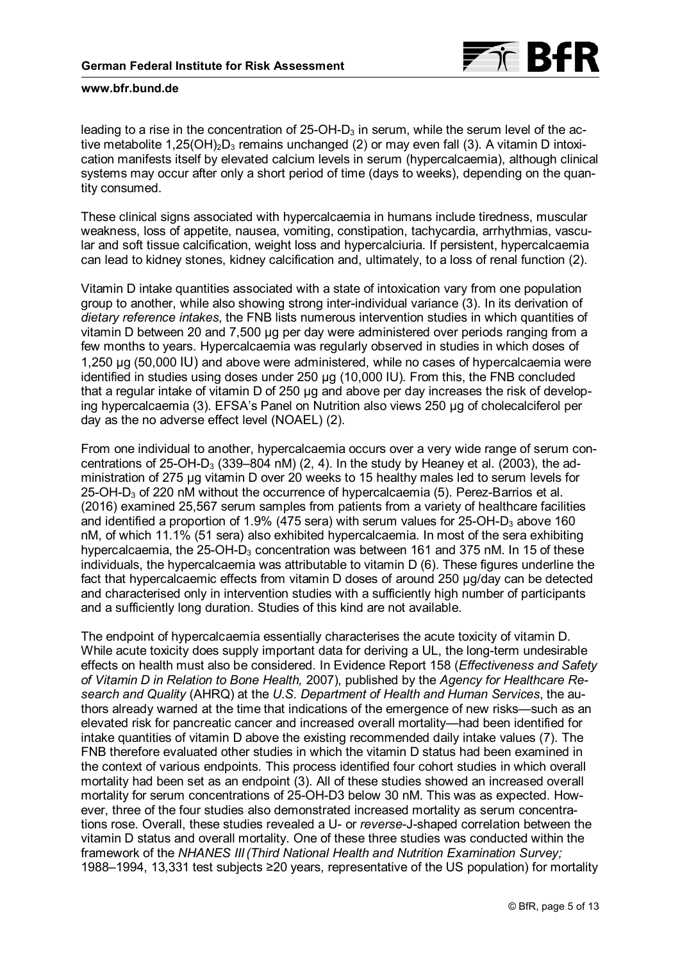

leading to a rise in the concentration of  $25$ -OH-D<sub>3</sub> in serum, while the serum level of the ac-tive metabolite 1,25(OH)<sub>2</sub>D<sub>3</sub> remains unchanged [\(2\)](#page-9-0) or may even fall [\(3\)](#page-9-0). A vitamin D intoxication manifests itself by elevated calcium levels in serum (hypercalcaemia), although clinical systems may occur after only a short period of time (days to weeks), depending on the quantity consumed.

These clinical signs associated with hypercalcaemia in humans include tiredness, muscular weakness, loss of appetite, nausea, vomiting, constipation, tachycardia, arrhythmias, vascular and soft tissue calcification, weight loss and hypercalciuria. If persistent, hypercalcaemia can lead to kidney stones, kidney calcification and, ultimately, to a loss of renal function [\(2\).](#page-9-0)

Vitamin D intake quantities associated with a state of intoxication vary from one population group to another, while also showing strong inter-individual variance [\(3\).](#page-9-0) In its derivation of *dietary reference intakes*, the FNB lists numerous intervention studies in which quantities of vitamin D between 20 and 7,500 µg per day were administered over periods ranging from a few months to years. Hypercalcaemia was regularly observed in studies in which doses of 1,250 µg (50,000 IU) and above were administered, while no cases of hypercalcaemia were identified in studies using doses under 250 µg (10,000 IU). From this, the FNB concluded that a regular intake of vitamin D of 250 µg and above per day increases the risk of developing hypercalcaemia [\(3\)](#page-9-0). EFSA's Panel on Nutrition also views 250 µg of cholecalciferol per day as the no adverse effect level (NOAEL) [\(2\)](#page-9-0).

From one individual to another, hypercalcaemia occurs over a very wide range of serum con-centrations of 25-OH-D<sub>3</sub> (339–804 nM) [\(2](#page-9-0), [4\)](#page-9-0). In the study by Heaney et al. (2003), the administration of 275 µg vitamin D over 20 weeks to 15 healthy males led to serum levels for 25-OH-D3 of 220 nM without the occurrence of hypercalcaemia [\(5\)](#page-9-0). Perez-Barrios et al. (2016) examined 25,567 serum samples from patients from a variety of healthcare facilities and identified a proportion of 1.9% (475 sera) with serum values for  $25$ -OH-D<sub>3</sub> above 160 nM, of which 11.1% (51 sera) also exhibited hypercalcaemia. In most of the sera exhibiting hypercalcaemia, the  $25$ -OH-D<sub>3</sub> concentration was between 161 and 375 nM. In 15 of these individuals, the hypercalcaemia was attributable to vitamin D [\(6\).](#page-9-0) These figures underline the fact that hypercalcaemic effects from vitamin D doses of around 250 µg/day can be detected and characterised only in intervention studies with a sufficiently high number of participants and a sufficiently long duration. Studies of this kind are not available.

The endpoint of hypercalcaemia essentially characterises the acute toxicity of vitamin D. While acute toxicity does supply important data for deriving a UL, the long-term undesirable effects on health must also be considered. In Evidence Report 158 (*Effectiveness and Safety of Vitamin D in Relation to Bone Health,* 2007), published by the *Agency for Healthcare Research and Quality* (AHRQ) at the *U.S. Department of Health and Human Services*, the authors already warned at the time that indications of the emergence of new risks—such as an elevated risk for pancreatic cancer and increased overall mortality—had been identified for intake quantities of vitamin D above the existing recommended daily intake values [\(7\).](#page-10-0) The FNB therefore evaluated other studies in which the vitamin D status had been examined in the context of various endpoints. This process identified four cohort studies in which overall mortality had been set as an endpoint [\(3\).](#page-9-0) All of these studies showed an increased overall mortality for serum concentrations of 25-OH-D3 below 30 nM. This was as expected. However, three of the four studies also demonstrated increased mortality as serum concentrations rose. Overall, these studies revealed a U- or *reverse*-J-shaped correlation between the vitamin D status and overall mortality. One of these three studies was conducted within the framework of the *NHANES III(Third National Health and Nutrition Examination Survey;*  1988–1994, 13,331 test subjects ≥20 years, representative of the US population) for mortality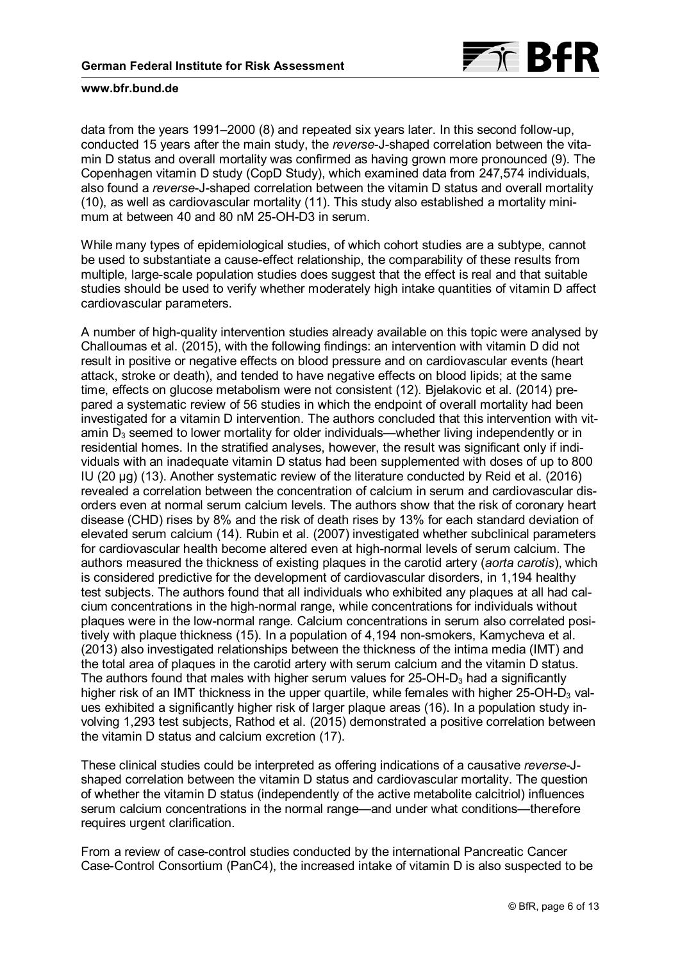

data from the years 1991–2000 [\(8\)](#page-10-0) and repeated six years later. In this second follow-up, conducted 15 years after the main study, the *reverse*-J-shaped correlation between the vitamin D status and overall mortality was confirmed as having grown more pronounced [\(9\)](#page-10-0). The Copenhagen vitamin D study (CopD Study), which examined data from 247,574 individuals, also found a *reverse*-J-shaped correlation between the vitamin D status and overall mortality [\(10\)](#page-10-0), as well as cardiovascular mortality [\(11\)](#page-10-0). This study also established a mortality minimum at between 40 and 80 nM 25-OH-D3 in serum.

While many types of epidemiological studies, of which cohort studies are a subtype, cannot be used to substantiate a cause-effect relationship, the comparability of these results from multiple, large-scale population studies does suggest that the effect is real and that suitable studies should be used to verify whether moderately high intake quantities of vitamin D affect cardiovascular parameters.

A number of high-quality intervention studies already available on this topic were analysed by Challoumas et al. (2015), with the following findings: an intervention with vitamin D did not result in positive or negative effects on blood pressure and on cardiovascular events (heart attack, stroke or death), and tended to have negative effects on blood lipids; at the same time, effects on glucose metabolism were not consistent [\(12\)](#page-10-0). Bjelakovic et al. (2014) prepared a systematic review of 56 studies in which the endpoint of overall mortality had been investigated for a vitamin D intervention. The authors concluded that this intervention with vitamin  $D_3$  seemed to lower mortality for older individuals—whether living independently or in residential homes. In the stratified analyses, however, the result was significant only if individuals with an inadequate vitamin D status had been supplemented with doses of up to 800 IU (20 µg) [\(13\).](#page-10-0) Another systematic review of the literature conducted by Reid et al. (2016) revealed a correlation between the concentration of calcium in serum and cardiovascular disorders even at normal serum calcium levels. The authors show that the risk of coronary heart disease (CHD) rises by 8% and the risk of death rises by 13% for each standard deviation of elevated serum calcium [\(14\)](#page-10-0). Rubin et al. (2007) investigated whether subclinical parameters for cardiovascular health become altered even at high-normal levels of serum calcium. The authors measured the thickness of existing plaques in the carotid artery (*aorta carotis*), which is considered predictive for the development of cardiovascular disorders, in 1,194 healthy test subjects. The authors found that all individuals who exhibited any plaques at all had calcium concentrations in the high-normal range, while concentrations for individuals without plaques were in the low-normal range. Calcium concentrations in serum also correlated positively with plaque thickness [\(15\)](#page-10-0). In a population of 4,194 non-smokers, Kamycheva et al. (2013) also investigated relationships between the thickness of the intima media (IMT) and the total area of plaques in the carotid artery with serum calcium and the vitamin D status. The authors found that males with higher serum values for  $25$ -OH-D<sub>3</sub> had a significantly higher risk of an IMT thickness in the upper quartile, while females with higher  $25$ -OH-D<sub>3</sub> values exhibited a significantly higher risk of larger plaque areas [\(16\).](#page-10-0) In a population study involving 1,293 test subjects, Rathod et al. (2015) demonstrated a positive correlation between the vitamin D status and calcium excretion [\(17\)](#page-10-0).

These clinical studies could be interpreted as offering indications of a causative *reverse*-Jshaped correlation between the vitamin D status and cardiovascular mortality. The question of whether the vitamin D status (independently of the active metabolite calcitriol) influences serum calcium concentrations in the normal range—and under what conditions—therefore requires urgent clarification.

From a review of case-control studies conducted by the international Pancreatic Cancer Case-Control Consortium (PanC4), the increased intake of vitamin D is also suspected to be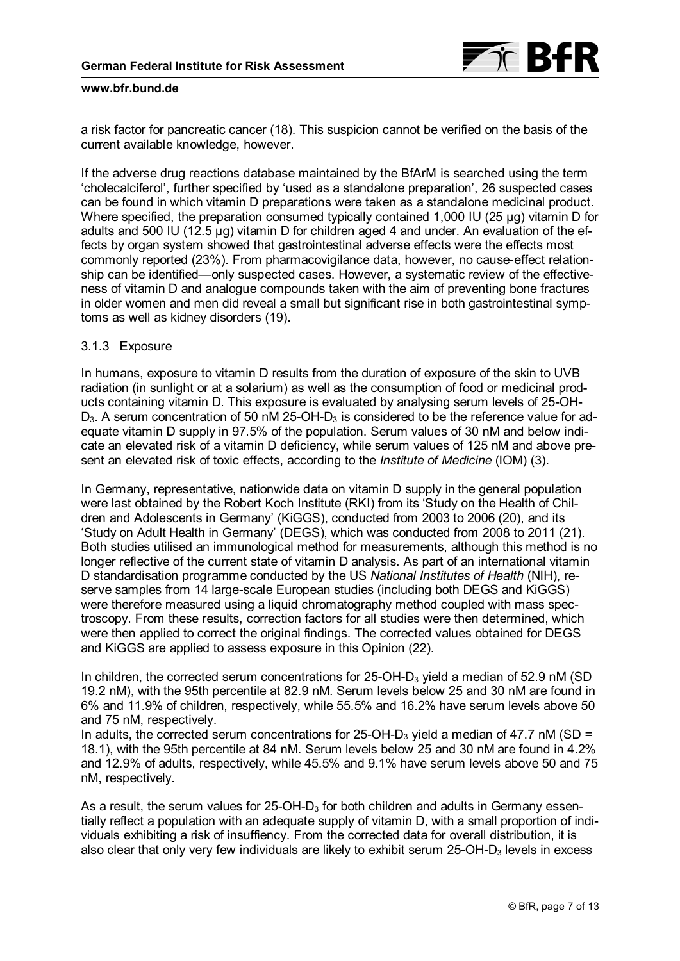

a risk factor for pancreatic cancer [\(18\).](#page-10-0) This suspicion cannot be verified on the basis of the current available knowledge, however.

If the adverse drug reactions database maintained by the BfArM is searched using the term 'cholecalciferol', further specified by 'used as a standalone preparation', 26 suspected cases can be found in which vitamin D preparations were taken as a standalone medicinal product. Where specified, the preparation consumed typically contained 1,000 IU (25 µg) vitamin D for adults and 500 IU (12.5 µg) vitamin D for children aged 4 and under. An evaluation of the effects by organ system showed that gastrointestinal adverse effects were the effects most commonly reported (23%). From pharmacovigilance data, however, no cause-effect relationship can be identified—only suspected cases. However, a systematic review of the effectiveness of vitamin D and analogue compounds taken with the aim of preventing bone fractures in older women and men did reveal a small but significant rise in both gastrointestinal symptoms as well as kidney disorders [\(19\).](#page-11-0)

## 3.1.3 Exposure

In humans, exposure to vitamin D results from the duration of exposure of the skin to UVB radiation (in sunlight or at a solarium) as well as the consumption of food or medicinal products containing vitamin D. This exposure is evaluated by analysing serum levels of 25-OH- $D_3$ . A serum concentration of 50 nM 25-OH- $D_3$  is considered to be the reference value for adequate vitamin D supply in 97.5% of the population. Serum values of 30 nM and below indicate an elevated risk of a vitamin D deficiency, while serum values of 125 nM and above present an elevated risk of toxic effects, according to the *Institute of Medicine* (IOM) [\(3\)](#page-9-0).

In Germany, representative, nationwide data on vitamin D supply in the general population were last obtained by the Robert Koch Institute (RKI) from its 'Study on the Health of Children and Adolescents in Germany' (KiGGS), conducted from 2003 to 2006 [\(20\)](#page-11-0), and its 'Study on Adult Health in Germany' (DEGS), which was conducted from 2008 to 2011 [\(21\)](#page-11-0). Both studies utilised an immunological method for measurements, although this method is no longer reflective of the current state of vitamin D analysis. As part of an international vitamin D standardisation programme conducted by the US *National Institutes of Health* (NIH), reserve samples from 14 large-scale European studies (including both DEGS and KiGGS) were therefore measured using a liquid chromatography method coupled with mass spectroscopy. From these results, correction factors for all studies were then determined, which were then applied to correct the original findings. The corrected values obtained for DEGS and KiGGS are applied to assess exposure in this Opinion [\(22\)](#page-11-0).

In children, the corrected serum concentrations for  $25$ -OH-D<sub>3</sub> yield a median of  $52.9$  nM (SD 19.2 nM), with the 95th percentile at 82.9 nM. Serum levels below 25 and 30 nM are found in 6% and 11.9% of children, respectively, while 55.5% and 16.2% have serum levels above 50 and 75 nM, respectively.

In adults, the corrected serum concentrations for 25-OH-D<sub>3</sub> yield a median of 47.7 nM (SD = 18.1), with the 95th percentile at 84 nM. Serum levels below 25 and 30 nM are found in 4.2% and 12.9% of adults, respectively, while 45.5% and 9.1% have serum levels above 50 and 75 nM, respectively.

As a result, the serum values for  $25$ -OH-D<sub>3</sub> for both children and adults in Germany essentially reflect a population with an adequate supply of vitamin D, with a small proportion of individuals exhibiting a risk of insuffiency. From the corrected data for overall distribution, it is also clear that only very few individuals are likely to exhibit serum  $25$ -OH-D<sub>3</sub> levels in excess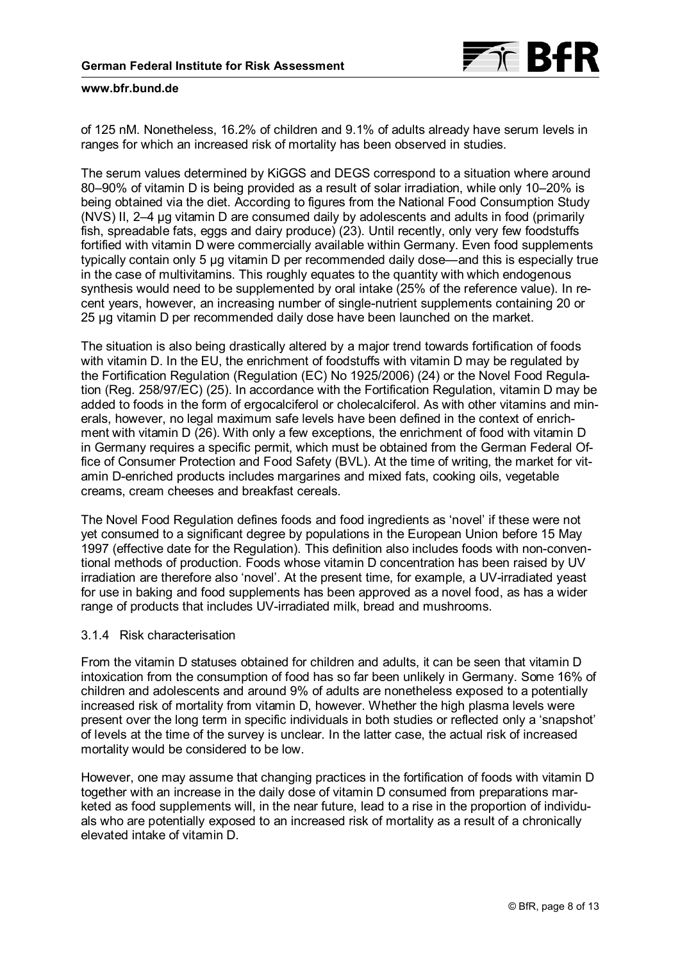

of 125 nM. Nonetheless, 16.2% of children and 9.1% of adults already have serum levels in ranges for which an increased risk of mortality has been observed in studies.

The serum values determined by KiGGS and DEGS correspond to a situation where around 80–90% of vitamin D is being provided as a result of solar irradiation, while only 10–20% is being obtained via the diet. According to figures from the National Food Consumption Study (NVS) II, 2–4 µg vitamin D are consumed daily by adolescents and adults in food (primarily fish, spreadable fats, eggs and dairy produce) [\(23\)](#page-11-0). Until recently, only very few foodstuffs fortified with vitamin D were commercially available within Germany. Even food supplements typically contain only 5 µg vitamin D per recommended daily dose—and this is especially true in the case of multivitamins. This roughly equates to the quantity with which endogenous synthesis would need to be supplemented by oral intake (25% of the reference value). In recent years, however, an increasing number of single-nutrient supplements containing 20 or 25 µg vitamin D per recommended daily dose have been launched on the market.

The situation is also being drastically altered by a major trend towards fortification of foods with vitamin D. In the EU, the enrichment of foodstuffs with vitamin D may be regulated by the Fortification Regulation (Regulation (EC) No 1925/2006) [\(24\)](#page-11-0) or the Novel Food Regulation (Reg. 258/97/EC) [\(25\)](#page-11-0). In accordance with the Fortification Regulation, vitamin D may be added to foods in the form of ergocalciferol or cholecalciferol. As with other vitamins and minerals, however, no legal maximum safe levels have been defined in the context of enrichment with vitamin D [\(26\).](#page-11-0) With only a few exceptions, the enrichment of food with vitamin D in Germany requires a specific permit, which must be obtained from the German Federal Office of Consumer Protection and Food Safety (BVL). At the time of writing, the market for vitamin D-enriched products includes margarines and mixed fats, cooking oils, vegetable creams, cream cheeses and breakfast cereals.

The Novel Food Regulation defines foods and food ingredients as 'novel' if these were not yet consumed to a significant degree by populations in the European Union before 15 May 1997 (effective date for the Regulation). This definition also includes foods with non-conventional methods of production. Foods whose vitamin D concentration has been raised by UV irradiation are therefore also 'novel'. At the present time, for example, a UV-irradiated yeast for use in baking and food supplements has been approved as a novel food, as has a wider range of products that includes UV-irradiated milk, bread and mushrooms.

## 3.1.4 Risk characterisation

From the vitamin D statuses obtained for children and adults, it can be seen that vitamin D intoxication from the consumption of food has so far been unlikely in Germany. Some 16% of children and adolescents and around 9% of adults are nonetheless exposed to a potentially increased risk of mortality from vitamin D, however. Whether the high plasma levels were present over the long term in specific individuals in both studies or reflected only a 'snapshot' of levels at the time of the survey is unclear. In the latter case, the actual risk of increased mortality would be considered to be low.

However, one may assume that changing practices in the fortification of foods with vitamin D together with an increase in the daily dose of vitamin D consumed from preparations marketed as food supplements will, in the near future, lead to a rise in the proportion of individuals who are potentially exposed to an increased risk of mortality as a result of a chronically elevated intake of vitamin D.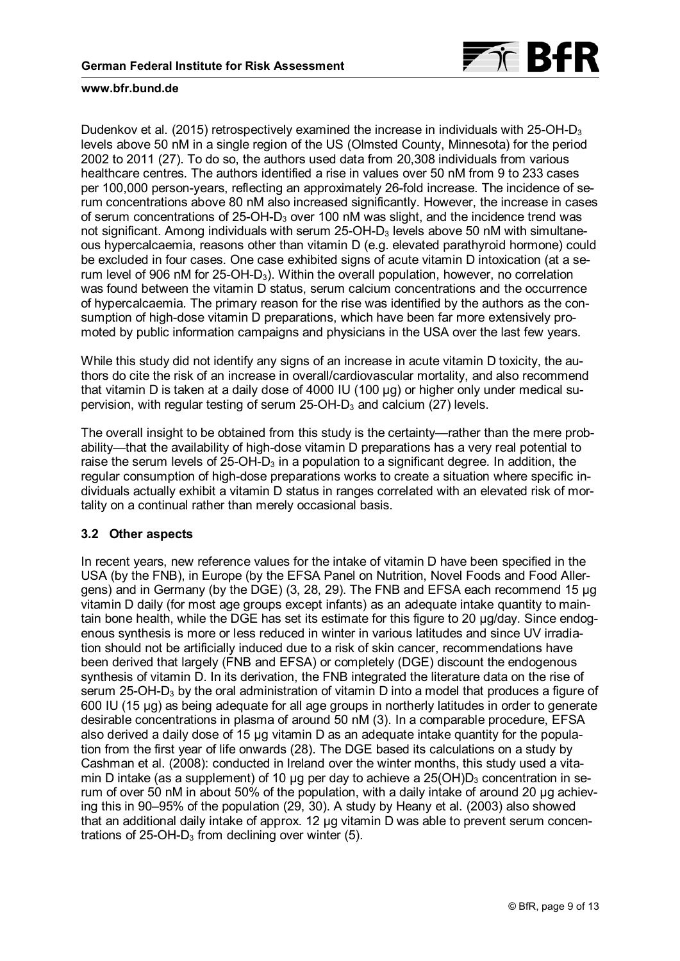

Dudenkov et al. (2015) retrospectively examined the increase in individuals with  $25$ -OH-D<sub>3</sub> levels above 50 nM in a single region of the US (Olmsted County, Minnesota) for the period 2002 to 2011 [\(27\).](#page-11-0) To do so, the authors used data from 20,308 individuals from various healthcare centres. The authors identified a rise in values over 50 nM from 9 to 233 cases per 100,000 person-years, reflecting an approximately 26-fold increase. The incidence of serum concentrations above 80 nM also increased significantly. However, the increase in cases of serum concentrations of 25-OH-D3 over 100 nM was slight, and the incidence trend was not significant. Among individuals with serum  $25$ -OH-D<sub>3</sub> levels above 50 nM with simultaneous hypercalcaemia, reasons other than vitamin D (e.g. elevated parathyroid hormone) could be excluded in four cases. One case exhibited signs of acute vitamin D intoxication (at a serum level of 906 nM for 25-OH-D3). Within the overall population, however, no correlation was found between the vitamin D status, serum calcium concentrations and the occurrence of hypercalcaemia. The primary reason for the rise was identified by the authors as the consumption of high-dose vitamin D preparations, which have been far more extensively promoted by public information campaigns and physicians in the USA over the last few years.

While this study did not identify any signs of an increase in acute vitamin D toxicity, the authors do cite the risk of an increase in overall/cardiovascular mortality, and also recommend that vitamin D is taken at a daily dose of 4000 IU (100 µg) or higher only under medical supervision, with regular testing of serum  $25$ -OH-D<sub>3</sub> and calcium [\(27\)](#page-11-0) levels.

The overall insight to be obtained from this study is the certainty—rather than the mere probability—that the availability of high-dose vitamin D preparations has a very real potential to raise the serum levels of  $25$ -OH-D<sub>3</sub> in a population to a significant degree. In addition, the regular consumption of high-dose preparations works to create a situation where specific individuals actually exhibit a vitamin D status in ranges correlated with an elevated risk of mortality on a continual rather than merely occasional basis.

# **3.2 Other aspects**

In recent years, new reference values for the intake of vitamin D have been specified in the USA (by the FNB), in Europe (by the EFSA Panel on Nutrition, Novel Foods and Food Allergens) and in Germany (by the DGE) [\(3,](#page-10-0) [28,](#page-11-0) [29\)](#page-11-0). The FNB and EFSA each recommend 15 µg vitamin D daily (for most age groups except infants) as an adequate intake quantity to maintain bone health, while the DGE has set its estimate for this figure to 20 ug/day. Since endogenous synthesis is more or less reduced in winter in various latitudes and since UV irradiation should not be artificially induced due to a risk of skin cancer, recommendations have been derived that largely (FNB and EFSA) or completely (DGE) discount the endogenous synthesis of vitamin D. In its derivation, the FNB integrated the literature data on the rise of serum 25-OH-D<sub>3</sub> by the oral administration of vitamin D into a model that produces a figure of 600 IU (15 µg) as being adequate for all age groups in northerly latitudes in order to generate desirable concentrations in plasma of around 50 nM [\(3\).](#page-9-0) In a comparable procedure, EFSA also derived a daily dose of 15 µg vitamin D as an adequate intake quantity for the population from the first year of life onwards [\(28\).](#page-11-0) The DGE based its calculations on a study by Cashman et al. (2008): conducted in Ireland over the winter months, this study used a vitamin D intake (as a supplement) of 10  $\mu$ g per day to achieve a 25(OH) $D_3$  concentration in serum of over 50 nM in about 50% of the population, with a daily intake of around 20 μg achieving this in 90–95% of the population ([29,](#page-11-0) [30\)](#page-12-0). A study by Heany et al. (2003) also showed that an additional daily intake of approx. 12 µg vitamin D was able to prevent serum concentrations of  $25$ -OH-D<sub>3</sub> from declining over winter [\(5\).](#page-9-0)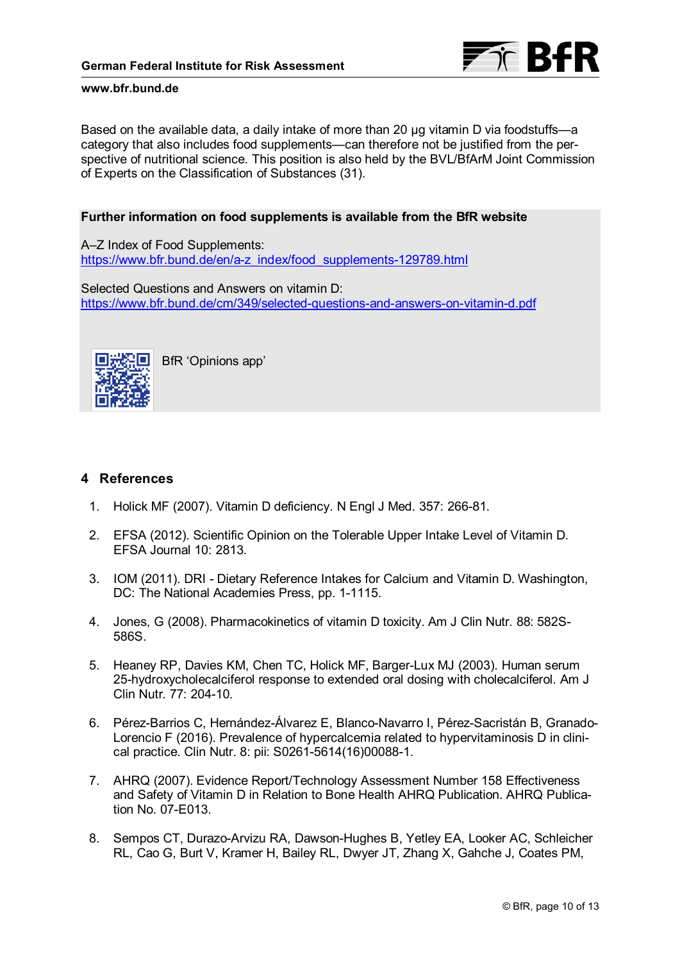

<span id="page-9-0"></span>Based on the available data, a daily intake of more than 20 µg vitamin D via foodstuffs—a category that also includes food supplements—can therefore not be justified from the perspective of nutritional science. This position is also held by the BVL/BfArM Joint Commission of Experts on the Classification of Substances [\(31\)](#page-12-0).

## **Further information on food supplements is available from the BfR website**

A–Z Index of Food Supplements: [https://www.bfr.bund.de/en/a-z\\_index/food\\_supplements-129789.html](https://www.bfr.bund.de/en/a-z_index/food_supplements-129789.html)

Selected Questions and Answers on vitamin D: <https://www.bfr.bund.de/cm/349/selected-questions-and-answers-on-vitamin-d.pdf>



BfR 'Opinions app'

# **4 References**

- 1. Holick MF (2007). Vitamin D deficiency. N Engl J Med. 357: 266-81.
- 2. EFSA (2012). Scientific Opinion on the Tolerable Upper Intake Level of Vitamin D. EFSA Journal 10: 2813.
- 3. IOM (2011). DRI Dietary Reference Intakes for Calcium and Vitamin D. Washington, DC: The National Academies Press, pp. 1-1115.
- 4. Jones, G (2008). Pharmacokinetics of vitamin D toxicity. Am J Clin Nutr. 88: 582S-586S.
- 5. Heaney RP, Davies KM, Chen TC, Holick MF, Barger-Lux MJ (2003). Human serum 25-hydroxycholecalciferol response to extended oral dosing with cholecalciferol. Am J Clin Nutr. 77: 204-10.
- 6. Pérez-Barrios C, Hernández-Álvarez E, Blanco-Navarro I, Pérez-Sacristán B, Granado-Lorencio F (2016). Prevalence of hypercalcemia related to hypervitaminosis D in clinical practice. Clin Nutr. 8: pii: S0261-5614(16)00088-1.
- 7. AHRQ (2007). Evidence Report/Technology Assessment Number 158 Effectiveness and Safety of Vitamin D in Relation to Bone Health AHRQ Publication. AHRQ Publication No. 07-E013.
- 8. Sempos CT, Durazo-Arvizu RA, Dawson-Hughes B, Yetley EA, Looker AC, Schleicher RL, Cao G, Burt V, Kramer H, Bailey RL, Dwyer JT, Zhang X, Gahche J, Coates PM,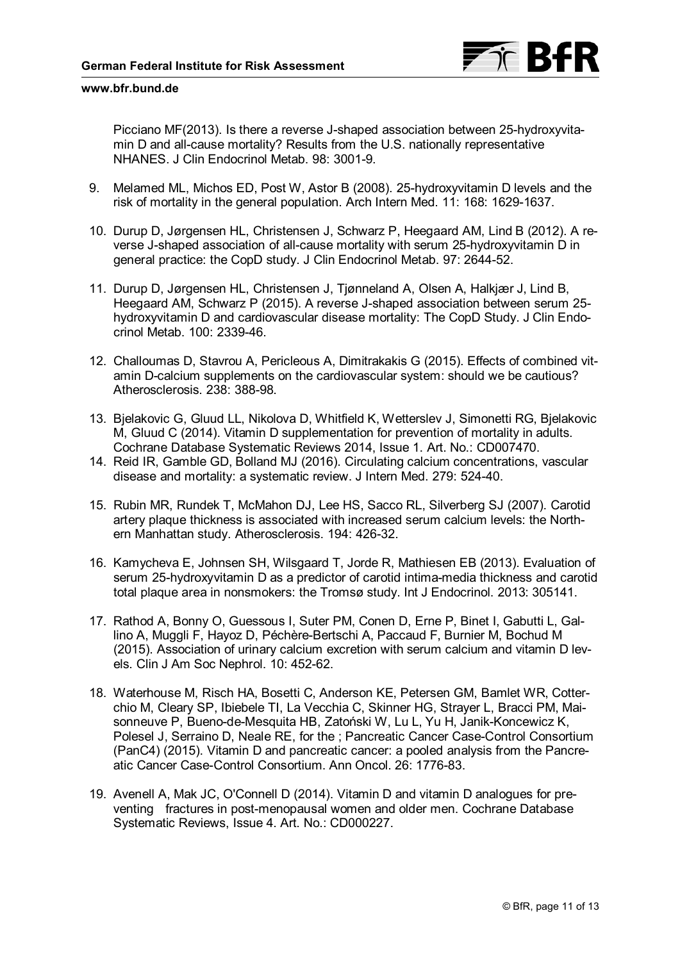

<span id="page-10-0"></span>Picciano MF(2013). Is there a reverse J-shaped association between 25-hydroxyvitamin D and all-cause mortality? Results from the U.S. nationally representative NHANES. J Clin Endocrinol Metab. 98: 3001-9.

- 9. Melamed ML, Michos ED, Post W, Astor B (2008). 25-hydroxyvitamin D levels and the risk of mortality in the general population. Arch Intern Med. 11: 168: 1629-1637.
- 10. Durup D, Jørgensen HL, Christensen J, Schwarz P, Heegaard AM, Lind B (2012). A reverse J-shaped association of all-cause mortality with serum 25-hydroxyvitamin D in general practice: the CopD study. J Clin Endocrinol Metab. 97: 2644-52.
- 11. Durup D, Jørgensen HL, Christensen J, Tjønneland A, Olsen A, Halkjær J, Lind B, Heegaard AM, Schwarz P (2015). A reverse J-shaped association between serum 25 hydroxyvitamin D and cardiovascular disease mortality: The CopD Study. J Clin Endocrinol Metab. 100: 2339-46.
- 12. Challoumas D, Stavrou A, Pericleous A, Dimitrakakis G (2015). Effects of combined vitamin D-calcium supplements on the cardiovascular system: should we be cautious? Atherosclerosis. 238: 388-98.
- 13. Bjelakovic G, Gluud LL, Nikolova D, Whitfield K, Wetterslev J, Simonetti RG, Bjelakovic M, Gluud C (2014). Vitamin D supplementation for prevention of mortality in adults. Cochrane Database Systematic Reviews 2014, Issue 1. Art. No.: CD007470.
- 14. Reid IR, Gamble GD, Bolland MJ (2016). Circulating calcium concentrations, vascular disease and mortality: a systematic review. J Intern Med. 279: 524-40.
- 15. Rubin MR, Rundek T, McMahon DJ, Lee HS, Sacco RL, Silverberg SJ (2007). Carotid artery plaque thickness is associated with increased serum calcium levels: the Northern Manhattan study. Atherosclerosis. 194: 426-32.
- 16. Kamycheva E, Johnsen SH, Wilsgaard T, Jorde R, Mathiesen EB (2013). Evaluation of serum 25-hydroxyvitamin D as a predictor of carotid intima-media thickness and carotid total plaque area in nonsmokers: the Tromsø study. Int J Endocrinol. 2013: 305141.
- 17. Rathod A, Bonny O, Guessous I, Suter PM, Conen D, Erne P, Binet I, Gabutti L, Gallino A, Muggli F, Hayoz D, Péchère-Bertschi A, Paccaud F, Burnier M, Bochud M (2015). Association of urinary calcium excretion with serum calcium and vitamin D levels. Clin J Am Soc Nephrol. 10: 452-62.
- 18. Waterhouse M, Risch HA, Bosetti C, Anderson KE, Petersen GM, Bamlet WR, Cotterchio M, Cleary SP, Ibiebele TI, La Vecchia C, Skinner HG, Strayer L, Bracci PM, Maisonneuve P, Bueno-de-Mesquita HB, Zatoński W, Lu L, Yu H, Janik-Koncewicz K, Polesel J, Serraino D, Neale RE, for the ; Pancreatic Cancer Case-Control Consortium (PanC4) (2015). Vitamin D and pancreatic cancer: a pooled analysis from the Pancreatic Cancer Case-Control Consortium. Ann Oncol. 26: 1776-83.
- 19. Avenell A, Mak JC, O'Connell D (2014). Vitamin D and vitamin D analogues for preventing fractures in post-menopausal women and older men. Cochrane Database Systematic Reviews, Issue 4. Art. No.: CD000227.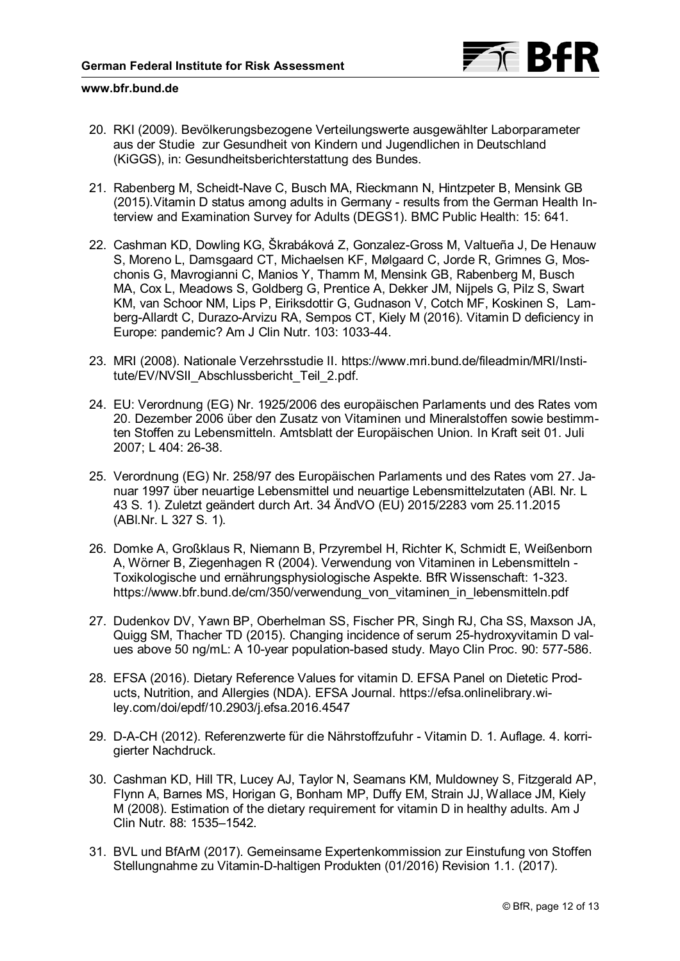

- <span id="page-11-0"></span>20. RKI (2009). Bevölkerungsbezogene Verteilungswerte ausgewählter Laborparameter aus der Studie zur Gesundheit von Kindern und Jugendlichen in Deutschland (KiGGS), in: Gesundheitsberichterstattung des Bundes.
- 21. Rabenberg M, Scheidt-Nave C, Busch MA, Rieckmann N, Hintzpeter B, Mensink GB (2015).Vitamin D status among adults in Germany - results from the German Health Interview and Examination Survey for Adults (DEGS1). BMC Public Health: 15: 641.
- 22. Cashman KD, Dowling KG, Škrabáková Z, Gonzalez-Gross M, Valtueña J, De Henauw S, Moreno L, Damsgaard CT, Michaelsen KF, Mølgaard C, Jorde R, Grimnes G, Moschonis G, Mavrogianni C, Manios Y, Thamm M, Mensink GB, Rabenberg M, Busch MA, Cox L, Meadows S, Goldberg G, Prentice A, Dekker JM, Nijpels G, Pilz S, Swart KM, van Schoor NM, Lips P, Eiriksdottir G, Gudnason V, Cotch MF, Koskinen S, Lamberg-Allardt C, Durazo-Arvizu RA, Sempos CT, Kiely M (2016). Vitamin D deficiency in Europe: pandemic? Am J Clin Nutr. 103: 1033-44.
- 23. MRI (2008). Nationale Verzehrsstudie II. https://www.mri.bund.de/fileadmin/MRI/Institute/EV/NVSII\_Abschlussbericht\_Teil\_2.pdf.
- 24. EU: Verordnung (EG) Nr. 1925/2006 des europäischen Parlaments und des Rates vom 20. Dezember 2006 über den Zusatz von Vitaminen und Mineralstoffen sowie bestimmten Stoffen zu Lebensmitteln. Amtsblatt der Europäischen Union. In Kraft seit 01. Juli 2007; L 404: 26-38.
- 25. Verordnung (EG) Nr. 258/97 des Europäischen Parlaments und des Rates vom 27. Januar 1997 über neuartige Lebensmittel und neuartige Lebensmittelzutaten (ABl. Nr. L 43 S. 1). Zuletzt geändert durch Art. 34 ÄndVO (EU) 2015/2283 vom 25.11.2015 (ABl.Nr. L 327 S. 1).
- 26. Domke A, Großklaus R, Niemann B, Przyrembel H, Richter K, Schmidt E, Weißenborn A, Wörner B, Ziegenhagen R (2004). Verwendung von Vitaminen in Lebensmitteln - Toxikologische und ernährungsphysiologische Aspekte. BfR Wissenschaft: 1-323. [https://www.bfr.bund.de/cm/350/verwendung\\_von\\_vitaminen\\_in\\_lebensmitteln.pdf](https://www.bfr.bund.de/cm/350/verwendung_von_vitaminen_in_lebensmitteln.pdf)
- 27. Dudenkov DV, Yawn BP, Oberhelman SS, Fischer PR, Singh RJ, Cha SS, Maxson JA, Quigg SM, Thacher TD (2015). Changing incidence of serum 25-hydroxyvitamin D values above 50 ng/mL: A 10-year population-based study. Mayo Clin Proc. 90: 577-586.
- 28. EFSA (2016). Dietary Reference Values for vitamin D. EFSA Panel on Dietetic Prod[ucts, Nutrition, and Allergies \(NDA\). EFSA Journal. https://efsa.onlinelibrary.wi](https://efsa.onlinelibrary.wiley.com/doi/epdf/10.2903/j.efsa.2016.4547)ley.com/doi/epdf/10.2903/j.efsa.2016.4547
- 29. D-A-CH (2012). Referenzwerte für die Nährstoffzufuhr Vitamin D. 1. Auflage. 4. korrigierter Nachdruck.
- 30. Cashman KD, Hill TR, Lucey AJ, Taylor N, Seamans KM, Muldowney S, Fitzgerald AP, Flynn A, Barnes MS, Horigan G, Bonham MP, Duffy EM, Strain JJ, Wallace JM, Kiely M (2008). Estimation of the dietary requirement for vitamin D in healthy adults. Am J Clin Nutr. 88: 1535–1542.
- 31. BVL und BfArM (2017). Gemeinsame Expertenkommission zur Einstufung von Stoffen Stellungnahme zu Vitamin-D-haltigen Produkten (01/2016) Revision 1.1. (2017).